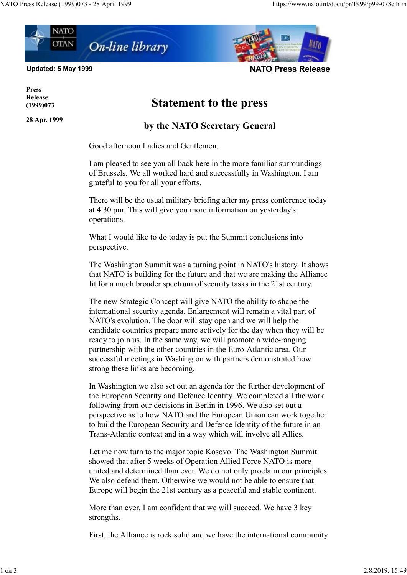

Updated: 5 May 1999 NATO Press Release

Press Release (1999)073

28 Apr. 1999

## Statement to the press

## by the NATO Secretary General

Good afternoon Ladies and Gentlemen,

I am pleased to see you all back here in the more familiar surroundings of Brussels. We all worked hard and successfully in Washington. I am grateful to you for all your efforts.

There will be the usual military briefing after my press conference today at 4.30 pm. This will give you more information on yesterday's operations.

What I would like to do today is put the Summit conclusions into perspective.

The Washington Summit was a turning point in NATO's history. It shows that NATO is building for the future and that we are making the Alliance fit for a much broader spectrum of security tasks in the 21st century.

The new Strategic Concept will give NATO the ability to shape the international security agenda. Enlargement will remain a vital part of NATO's evolution. The door will stay open and we will help the candidate countries prepare more actively for the day when they will be ready to join us. In the same way, we will promote a wide-ranging partnership with the other countries in the Euro-Atlantic area. Our successful meetings in Washington with partners demonstrated how strong these links are becoming.

In Washington we also set out an agenda for the further development of the European Security and Defence Identity. We completed all the work following from our decisions in Berlin in 1996. We also set out a perspective as to how NATO and the European Union can work together to build the European Security and Defence Identity of the future in an Trans-Atlantic context and in a way which will involve all Allies.

Let me now turn to the major topic Kosovo. The Washington Summit showed that after 5 weeks of Operation Allied Force NATO is more united and determined than ever. We do not only proclaim our principles. We also defend them. Otherwise we would not be able to ensure that Europe will begin the 21st century as a peaceful and stable continent.

More than ever, I am confident that we will succeed. We have 3 key strengths.

First, the Alliance is rock solid and we have the international community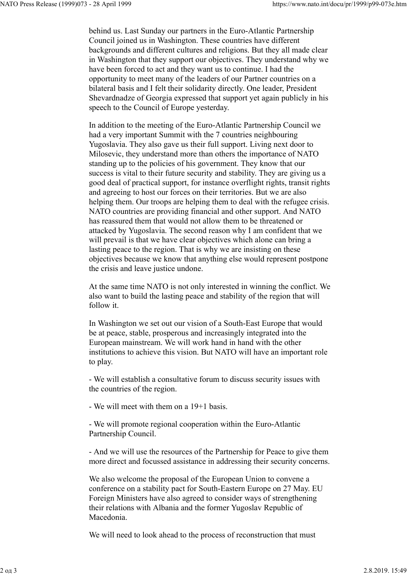behind us. Last Sunday our partners in the Euro-Atlantic Partnership Council joined us in Washington. These countries have different backgrounds and different cultures and religions. But they all made clear in Washington that they support our objectives. They understand why we have been forced to act and they want us to continue. I had the opportunity to meet many of the leaders of our Partner countries on a bilateral basis and I felt their solidarity directly. One leader, President Shevardnadze of Georgia expressed that support yet again publicly in his speech to the Council of Europe yesterday.

In addition to the meeting of the Euro-Atlantic Partnership Council we had a very important Summit with the 7 countries neighbouring Yugoslavia. They also gave us their full support. Living next door to Milosevic, they understand more than others the importance of NATO standing up to the policies of his government. They know that our success is vital to their future security and stability. They are giving us a good deal of practical support, for instance overflight rights, transit rights and agreeing to host our forces on their territories. But we are also helping them. Our troops are helping them to deal with the refugee crisis. NATO countries are providing financial and other support. And NATO has reassured them that would not allow them to be threatened or attacked by Yugoslavia. The second reason why I am confident that we will prevail is that we have clear objectives which alone can bring a lasting peace to the region. That is why we are insisting on these objectives because we know that anything else would represent postpone the crisis and leave justice undone.

At the same time NATO is not only interested in winning the conflict. We also want to build the lasting peace and stability of the region that will follow it.

In Washington we set out our vision of a South-East Europe that would be at peace, stable, prosperous and increasingly integrated into the European mainstream. We will work hand in hand with the other institutions to achieve this vision. But NATO will have an important role to play.

- We will establish a consultative forum to discuss security issues with the countries of the region.

- We will meet with them on a 19+1 basis.

- We will promote regional cooperation within the Euro-Atlantic Partnership Council.

- And we will use the resources of the Partnership for Peace to give them more direct and focussed assistance in addressing their security concerns.

We also welcome the proposal of the European Union to convene a conference on a stability pact for South-Eastern Europe on 27 May. EU Foreign Ministers have also agreed to consider ways of strengthening their relations with Albania and the former Yugoslav Republic of Macedonia.

We will need to look ahead to the process of reconstruction that must